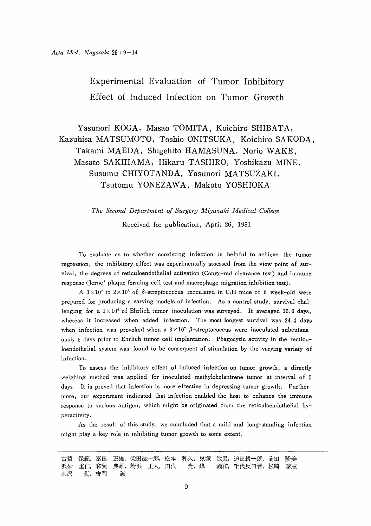# Experimental Evaluation of Tumor Inhibitory Effect of Induced Infection on Tumor Growth

 Yasunori KOGA, Masao TOMITA, Koichiro SHIBATA, Kazuhisa MATSUMOTO, Toshio ONITSUKA, Koichiro SAKODA, Takami MAEDA, Shigehito HAMASUNA, Norio WAKE, Masato SAKIHAMA, Hikaru TASHIRO, Yoshikazu MINE, Susumu CHIYOTANDA, Yasunori MATSUZAKI, Tsutomu YONEZAWA, Makoto YOSHIOKA

> The Second Department of Surgery Miyazaki Medical College Received for publication, April 26, 1981

 To evaluate as to whether coexisting infection is helpful to achieve the tumor regression, the inhibitory effect was experimentally assessed from the view point of survival, the degrees of reticuloendothelial activation (Congo-red clearance test) and immune response (Jerne' plaque forming cell test and macrophage migration inhibition test).

A  $3 \times 10^7$  to  $2 \times 10^8$  of  $\beta$ -streptococcus inoculated in C<sub>3</sub>H mice of 6 week-old were prepared for producing a varying models of infection. As a control study, survival challenging for a  $1 \times 10^6$  of Ehrlich tumor inoculation was surveyed. It averaged 16.6 days, whereas it increased when added infection. The most longest survival was 24.4 days when infection was provoked when a  $3 \times 10^7$   $\beta$ -streptococcus were inoculated subcutaneously 5 days prior to Ehrlich tumor cell implantation. Phagocytic activity in the recticuloendothelial system was found to be consequent of stimulation by the varying variety of infection.

 To assess the inhibitory effect of induced infection on tumor growth, a directly weighing method was applied for inoculated methylcholantrene tumor at interval of 5 days. It is proved that infection is more effective in depressing tumor growth. Furthermore, our experiment indicated that infection enabled the host to enhance the immune response to various antigen, which might be originated from the reticuloendothelial hyperactivity.

 As the result of this study, we concluded that a mild and long-standing infection might play a key role in inhibiting tumor growth to some extent.

保範, 富田 正雄, 柴田紘一郎, 松本 和久, 鬼塚 敏男, 迫田耕一朗, 前田 古賀 隆美 重仁,和気 典雄,崎浜 正人,田代 光,峰 義和,千代反田晋,松崎 浜砂 泰憲 米沢 勤,吉岡 誠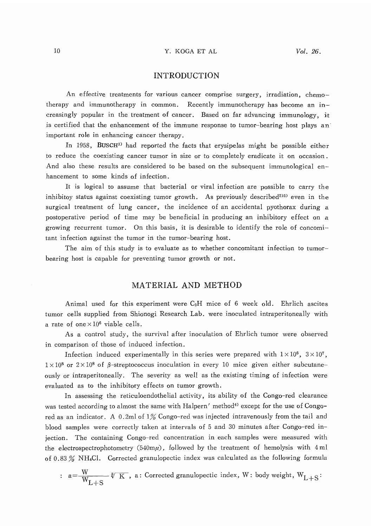### Y. KOGA ET AL

# INTRODUCTION

An effective treatments for various cancer comprise surgery, irradiation, chemotherapy and immunotherapy in common. Recently immunotherapy has become an increasingly popular in the treatment of cancer. Based on far advancing immunology, it is certified that the enhancement of the immune response to tumor-bearing host plays an important role in enhancing cancer therapy.

In 1958, BUSCH<sup>1)</sup> had reported the facts that erysipelas might be possible either to reduce the coexisting cancer tumor in size or to completely eradicate it on occasion. And also these results are considered to be based on the subsequent immunological enhancement to some kinds of infection.

It is logical to assume that bacterial or viral infection are possible to carry the inhibitoy status against coexisting tumor growth. As previously described<sup>233</sup> even in the surgical treatment of lung cancer, the incidence of an accidental pyothorax during a postoperative period of time may be beneficial in producing an inhibitory effect on a growing recurrent tumor. On this basis, it is desirable to identify the role of concomitant infection against the tumor in the tumor-bearing host.

The aim of this study is to evaluate as to whether concomitant infection to tumorbearing host is capable for preventing tumor growth or not.

# MATERIAL AND METHOD

Animal used for this experiment were C3H mice of 6 week old. Ehrlich ascites tumor cells supplied from Shionogi Research Lab. were inoculated intraperitoneally with a rate of one  $\times 10^6$  viable cells.

As a control study, the survival after inoculation of Ehrlich tumor were observed in comparison of those of induced infection.

Infection induced experimentally in this series were prepared with  $1 \times 10^6$ ,  $3 \times 10^7$ ,  $1 \times 10^8$  or  $2 \times 10^8$  of  $\beta$ -streptococcus inoculation in every 10 mice given either subcutaneously or intraperitoneally. The severity as well as the existing timing of infection were evaluated as to the inhibitory effects on tumor growth.

In assessing the reticuloendothelial activity, its ability of the Congo-red clearance was tested according to almost the same with Halpern' method<sup>4)</sup> except for the use of Congored as an indicator. A 0.2ml of 1% Congo-red was injected intravenously from the tail and blood samples were correctly taken at intervals of 5 and 30 minutes after Congo-red injection. The containing Congo-red concentration in each samples were measured with the electrospectrophotometry  $(540m\mu)$ , followed by the treatment of hemolysis with 4 ml of 0.83  $\%$  NH<sub>4</sub>Cl. Corrected granulopectic index was calculated as the following formula

: 
$$
a = \frac{W}{W_{L+S}} \sqrt[k]{K}
$$
, a: Corrected granulopectic index, W: body weight,  $W_{L+S}$ :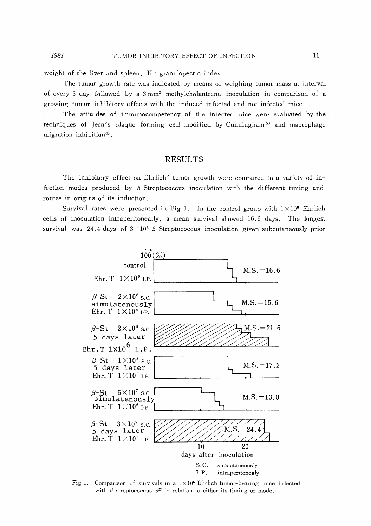#### 1981 TUMOR INHIBITORY EFFECT OF INFECTION

weight of the liver and spleen, K: granulopectic index.

The tumor growth rate was indicated by means of weighing tumor mass at interval of every 5 day followed by a 3 mm' methylcholantrene inoculation in comparison of a growing tumor inhibitory effects with the induced infected and not infected mice.

The attitudes of immunocompetency of the infected mice were evaluated by the techniques of Jern's plaque forming cell modified by Cunningham 5) and macrophage migration inhibition<sup>6)</sup>.

# RESULTS

The inhibitory effect on Ehrlich' tumor growth were compared to a variety of infection modes produced by  $\beta$ -Streptococcus inoculation with the different timing and routes in origins of its induction.

Survival rates were presented in Fig 1. In the control group with  $1 \times 10^6$  Ehrlich cells of inoculation intraperitoneally, a mean survival showed 16.6 days. The longest survival was 24.4 days of  $3 \times 10^6$   $\beta$ -Streptococcus inoculation given subcutaneously prior



Fig 1. Comparison of survivals in a  $1 \times 10^6$  Ehrlich tumor-bearing mice infected with  $\beta$ -streptococcus S<sup>23</sup> in relation to either its timing or mode.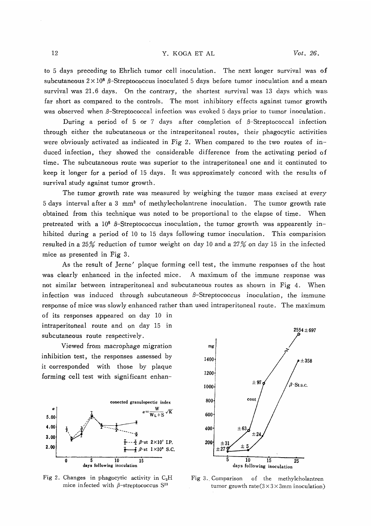### Y. KOGA ET AL

to 5 days preceding to Ehrlich tumor cell inoculation. The next longer survival was of subcutaneous  $2 \times 10^8$   $\beta$ -Streptococcus inoculated 5 days before tumor inoculation and a mean survival was 21.6 days. On the contrary, the shortest survival was 13 days which was far short as compared to the controls. The most inhibitory effects against tumor growth was observed when  $\beta$ -Streptococcal infection was evoked 5 days prior to tumor inoculation.

During a period of 5 or 7 days after completion of  $\beta$ -Streptococcal infection through either the subcutaneous or the intraperitoneal routes, their phagocytic activities were obviously activated as indicated in Fig 2. When compared to the two routes of induced infection, they showed the considerable difference from the activating period of time. The subcutaneous route was superior to the intraperitoneal one and it continuted to keep it longer for a period of 15 days. It was approximately concord with the results of survival study against tumor growth.

The tumor growth rate was measured by weighing the tumor mass excised at every 5 days interval after a 3 mm' of methylecholantrene inoculation. The tumor growth rate obtained from this technique was noted to be proportional to the elapse of time. When pretreated with a  $10^8$   $\beta$ -Streptococcus inoculation, the tumor growth was appearently inhibited during a period of 10 to 15 days following tumor inoculation. This comparision resulted in a 25% reduction of tumor weight on day 10 and a 27% on day 15 in the infected mice as presented in Fig 3.

As the result of Jerne' plaque forming cell test, the immune responses of the host was clearly enhanced in the infected mice. A maximum of the immune response was not similar between intraperitoneal and subcutaneous routes as shown in Fig 4. When infection was induced through subcutaneous  $\beta$ -Streptococcus inoculation, the immune response of mice was slowly enhanced rather than used intraperitoneal route. The maximum

of its responses appeared on day 10 in intraperitoneal route and on day 15 in subcutaneous route respectively.

Viewed from macrophage migration inhibition test, the responses assessed by it corresponded with those by plaque forming cell test with significant enhan-



Fig 2. Changes in phagocytic activity in  $C_3H$ mice infected with  $\beta$ -streptococcus S<sup>23</sup>



Fig 3.. Comparison of the methylcholantren tumor growth rate  $(3 \times 3 \times 3)$ mm inoculation)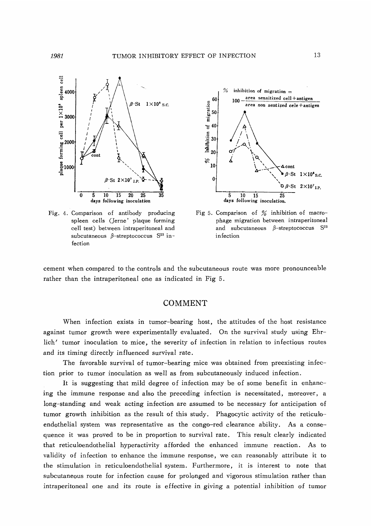

Fig. 4. Comparison of antibody producing spleen cells (Jerne' plaque forming cell test) between intraperitoneal and subcutaneous  $\beta$ -streptococcus S<sup>23</sup> infection



Fig 5. Comparison of % inhibition of macrophage migration between intraperitoneal and subcutaneous  $\beta$ -streptococcus S<sup>23</sup> infection

cement when compared to the controls and the subcutaneous route was more pronounceable rather than the intraperitoneal one as indicated in Fig 5.

# COMMENT

When infection exists in tumor-bearing host, the attitudes of the host resistance against tumor growth were experimentally evaluated. On the survival study using Ehrlich' tumor inoculation to mice, the severity of infection in relation to infectious routes and its timing directly influenced survival rate.

The favorable survival of tumor-bearing mice was obtained from preexisting infection prior to tumor inoculation as well as from subcutaneously induced infection.

It is suggesting that mild degree of infection may be of some benefit in enhancing the immune response and also the preceding infection is necessitated, moreover, a long-standing and weak acting infection are assumed to be necessary for anticipation of tumor growth inhibition as the result of this study. Phagocytic activity of the reticuloendothelial system was representative as the congo-red clearance ability. As a consequence it was proved to be in proportion to survival rate. This result clearly indicated that reticuloendothelial hyperactivity afforded the enhanced immune reaction. As to validity of infection to enhance the immune response, we can reasonably attribute it to the stimulation in reticuloendothelial system. Furthermore, it is interest to note that subcutaneous route for infection cause for prolonged and vigorous stimulation rather than intraperitoneal one and its route is effective in giving a potential inhibition of tumor